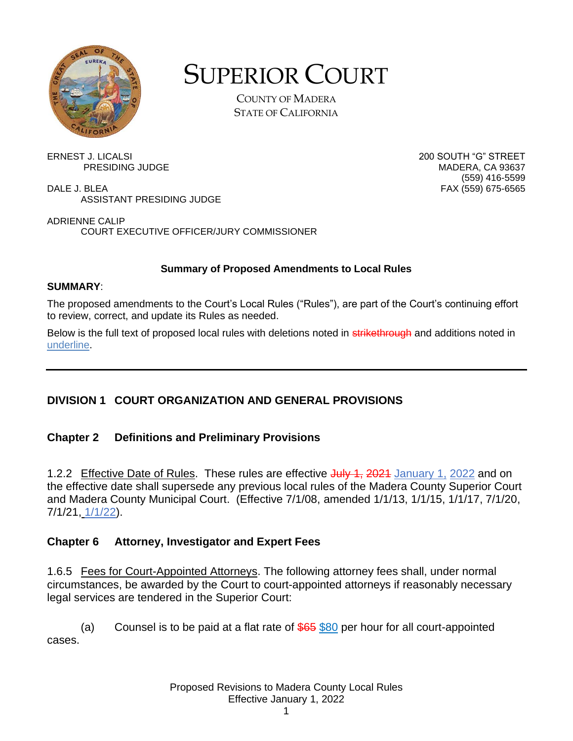

# SUPERIOR COURT

COUNTY OF MADERA STATE OF CALIFORNIA

ERNEST J. LICALSI 200 SOUTH "G" STREET

DALE J. BLEA FAX (559) 675-6565 ASSISTANT PRESIDING JUDGE

ADRIENNE CALIP COURT EXECUTIVE OFFICER/JURY COMMISSIONER

#### **Summary of Proposed Amendments to Local Rules**

#### **SUMMARY**:

The proposed amendments to the Court's Local Rules ("Rules"), are part of the Court's continuing effort to review, correct, and update its Rules as needed.

Below is the full text of proposed local rules with deletions noted in strikethrough and additions noted in underline.

# **DIVISION 1 COURT ORGANIZATION AND GENERAL PROVISIONS**

#### **Chapter 2 Definitions and Preliminary Provisions**

1.2.2 Effective Date of Rules. These rules are effective July 1, 2021 January 1, 2022 and on the effective date shall supersede any previous local rules of the Madera County Superior Court and Madera County Municipal Court. (Effective 7/1/08, amended 1/1/13, 1/1/15, 1/1/17, 7/1/20, 7/1/21, 1/1/22).

#### **Chapter 6 Attorney, Investigator and Expert Fees**

1.6.5 Fees for Court-Appointed Attorneys. The following attorney fees shall, under normal circumstances, be awarded by the Court to court-appointed attorneys if reasonably necessary legal services are tendered in the Superior Court:

(a) Counsel is to be paid at a flat rate of  $$65$  \$80 per hour for all court-appointed cases.

PRESIDING JUDGE NADAL AND THE MADERA, CA 93637 (559) 416-5599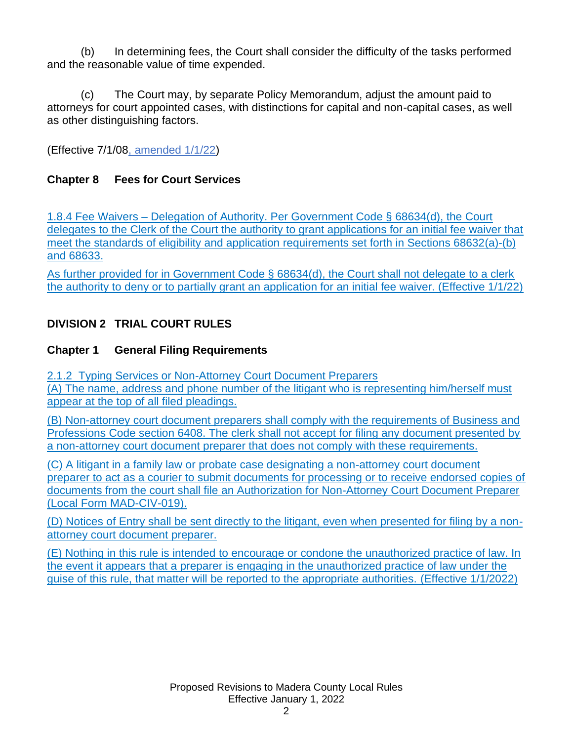(b) In determining fees, the Court shall consider the difficulty of the tasks performed and the reasonable value of time expended.

(c) The Court may, by separate Policy Memorandum, adjust the amount paid to attorneys for court appointed cases, with distinctions for capital and non-capital cases, as well as other distinguishing factors.

(Effective 7/1/08, amended 1/1/22)

# **Chapter 8 Fees for Court Services**

1.8.4 Fee Waivers – Delegation of Authority. Per Government Code § 68634(d), the Court delegates to the Clerk of the Court the authority to grant applications for an initial fee waiver that meet the standards of eligibility and application requirements set forth in Sections 68632(a)-(b) and 68633.

As further provided for in Government Code § 68634(d), the Court shall not delegate to a clerk the authority to deny or to partially grant an application for an initial fee waiver. (Effective 1/1/22)

# **DIVISION 2 TRIAL COURT RULES**

#### **Chapter 1 General Filing Requirements**

2.1.2 Typing Services or Non-Attorney Court Document Preparers (A) The name, address and phone number of the litigant who is representing him/herself must appear at the top of all filed pleadings.

(B) Non-attorney court document preparers shall comply with the requirements of Business and Professions Code section 6408. The clerk shall not accept for filing any document presented by a non-attorney court document preparer that does not comply with these requirements.

(C) A litigant in a family law or probate case designating a non-attorney court document preparer to act as a courier to submit documents for processing or to receive endorsed copies of documents from the court shall file an Authorization for Non-Attorney Court Document Preparer (Local Form MAD-CIV-019).

(D) Notices of Entry shall be sent directly to the litigant, even when presented for filing by a nonattorney court document preparer.

(E) Nothing in this rule is intended to encourage or condone the unauthorized practice of law. In the event it appears that a preparer is engaging in the unauthorized practice of law under the guise of this rule, that matter will be reported to the appropriate authorities. (Effective 1/1/2022)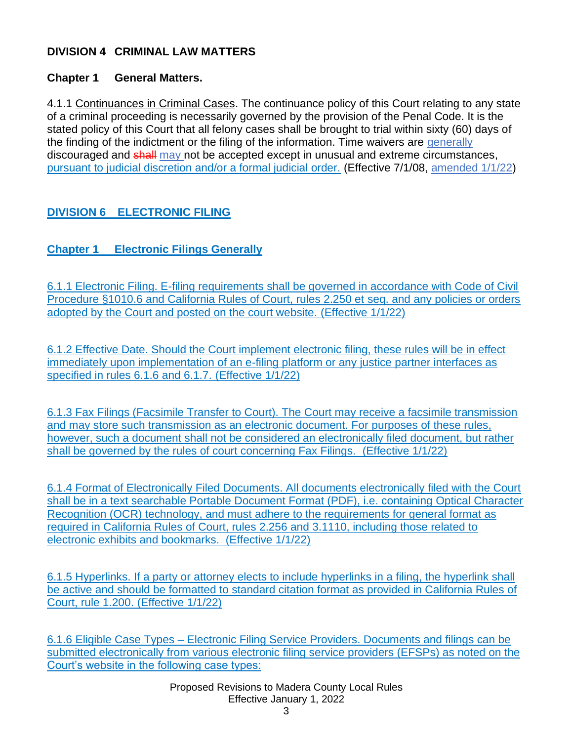#### **DIVISION 4 CRIMINAL LAW MATTERS**

#### **Chapter 1 General Matters.**

4.1.1 Continuances in Criminal Cases. The continuance policy of this Court relating to any state of a criminal proceeding is necessarily governed by the provision of the Penal Code. It is the stated policy of this Court that all felony cases shall be brought to trial within sixty (60) days of the finding of the indictment or the filing of the information. Time waivers are generally discouraged and shall may not be accepted except in unusual and extreme circumstances, pursuant to judicial discretion and/or a formal judicial order. (Effective 7/1/08, amended 1/1/22)

# **DIVISION 6 ELECTRONIC FILING**

# **Chapter 1 Electronic Filings Generally**

6.1.1 Electronic Filing. E-filing requirements shall be governed in accordance with Code of Civil Procedure §1010.6 and California Rules of Court, rules 2.250 et seq. and any policies or orders adopted by the Court and posted on the court website. (Effective 1/1/22)

6.1.2 Effective Date. Should the Court implement electronic filing, these rules will be in effect immediately upon implementation of an e-filing platform or any justice partner interfaces as specified in rules 6.1.6 and 6.1.7. (Effective 1/1/22)

6.1.3 Fax Filings (Facsimile Transfer to Court). The Court may receive a facsimile transmission and may store such transmission as an electronic document. For purposes of these rules, however, such a document shall not be considered an electronically filed document, but rather shall be governed by the rules of court concerning Fax Filings. (Effective 1/1/22)

6.1.4 Format of Electronically Filed Documents. All documents electronically filed with the Court shall be in a text searchable Portable Document Format (PDF), i.e. containing Optical Character Recognition (OCR) technology, and must adhere to the requirements for general format as required in California Rules of Court, rules 2.256 and 3.1110, including those related to electronic exhibits and bookmarks. (Effective 1/1/22)

6.1.5 Hyperlinks. If a party or attorney elects to include hyperlinks in a filing, the hyperlink shall be active and should be formatted to standard citation format as provided in California Rules of Court, rule 1.200. (Effective 1/1/22)

6.1.6 Eligible Case Types – Electronic Filing Service Providers. Documents and filings can be submitted electronically from various electronic filing service providers (EFSPs) as noted on the Court's website in the following case types:

> Proposed Revisions to Madera County Local Rules Effective January 1, 2022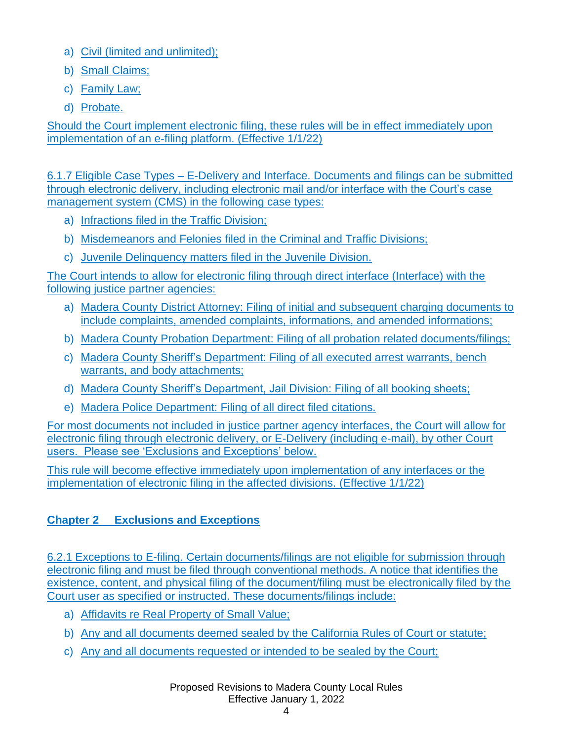- a) Civil (limited and unlimited);
- b) Small Claims;
- c) Family Law;
- d) Probate.

Should the Court implement electronic filing, these rules will be in effect immediately upon implementation of an e-filing platform. (Effective 1/1/22)

6.1.7 Eligible Case Types – E-Delivery and Interface. Documents and filings can be submitted through electronic delivery, including electronic mail and/or interface with the Court's case management system (CMS) in the following case types:

- a) Infractions filed in the Traffic Division;
- b) Misdemeanors and Felonies filed in the Criminal and Traffic Divisions;
- c) Juvenile Delinquency matters filed in the Juvenile Division.

The Court intends to allow for electronic filing through direct interface (Interface) with the following justice partner agencies:

- a) Madera County District Attorney: Filing of initial and subsequent charging documents to include complaints, amended complaints, informations, and amended informations;
- b) Madera County Probation Department: Filing of all probation related documents/filings;
- c) Madera County Sheriff's Department: Filing of all executed arrest warrants, bench warrants, and body attachments;
- d) Madera County Sheriff's Department, Jail Division: Filing of all booking sheets;
- e) Madera Police Department: Filing of all direct filed citations.

For most documents not included in justice partner agency interfaces, the Court will allow for electronic filing through electronic delivery, or E-Delivery (including e-mail), by other Court users. Please see 'Exclusions and Exceptions' below.

This rule will become effective immediately upon implementation of any interfaces or the implementation of electronic filing in the affected divisions. (Effective 1/1/22)

# **Chapter 2 Exclusions and Exceptions**

6.2.1 Exceptions to E-filing. Certain documents/filings are not eligible for submission through electronic filing and must be filed through conventional methods. A notice that identifies the existence, content, and physical filing of the document/filing must be electronically filed by the Court user as specified or instructed. These documents/filings include:

- a) Affidavits re Real Property of Small Value;
- b) Any and all documents deemed sealed by the California Rules of Court or statute;
- c) Any and all documents requested or intended to be sealed by the Court;

Proposed Revisions to Madera County Local Rules Effective January 1, 2022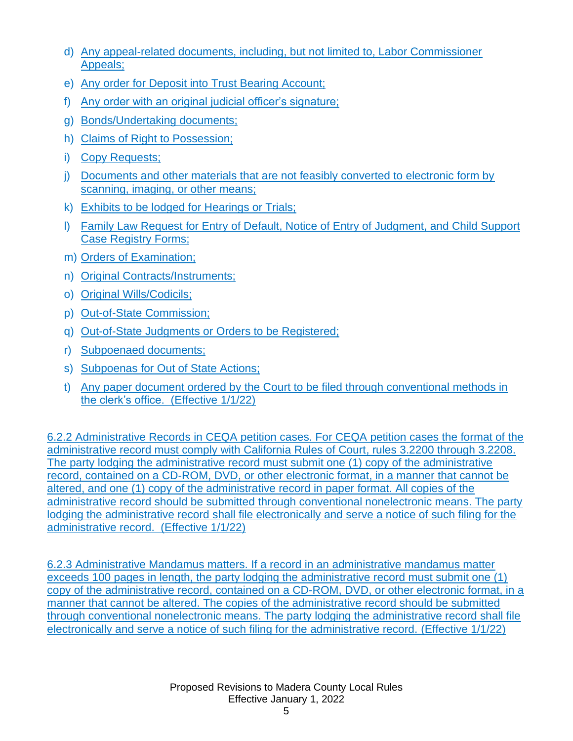- d) Any appeal-related documents, including, but not limited to, Labor Commissioner Appeals;
- e) Any order for Deposit into Trust Bearing Account;
- f) Any order with an original judicial officer's signature;
- g) Bonds/Undertaking documents;
- h) Claims of Right to Possession;
- i) Copy Requests;
- j) Documents and other materials that are not feasibly converted to electronic form by scanning, imaging, or other means;
- k) Exhibits to be lodged for Hearings or Trials;
- l) Family Law Request for Entry of Default, Notice of Entry of Judgment, and Child Support Case Registry Forms;
- m) Orders of Examination;
- n) Original Contracts/Instruments;
- o) Original Wills/Codicils;
- p) Out-of-State Commission;
- q) Out-of-State Judgments or Orders to be Registered;
- r) Subpoenaed documents;
- s) Subpoenas for Out of State Actions;
- t) Any paper document ordered by the Court to be filed through conventional methods in the clerk's office. (Effective 1/1/22)

6.2.2 Administrative Records in CEQA petition cases. For CEQA petition cases the format of the administrative record must comply with California Rules of Court, rules 3.2200 through 3.2208. The party lodging the administrative record must submit one (1) copy of the administrative record, contained on a CD-ROM, DVD, or other electronic format, in a manner that cannot be altered, and one (1) copy of the administrative record in paper format. All copies of the administrative record should be submitted through conventional nonelectronic means. The party lodging the administrative record shall file electronically and serve a notice of such filing for the administrative record. (Effective 1/1/22)

6.2.3 Administrative Mandamus matters. If a record in an administrative mandamus matter exceeds 100 pages in length, the party lodging the administrative record must submit one (1) copy of the administrative record, contained on a CD-ROM, DVD, or other electronic format, in a manner that cannot be altered. The copies of the administrative record should be submitted through conventional nonelectronic means. The party lodging the administrative record shall file electronically and serve a notice of such filing for the administrative record. (Effective 1/1/22)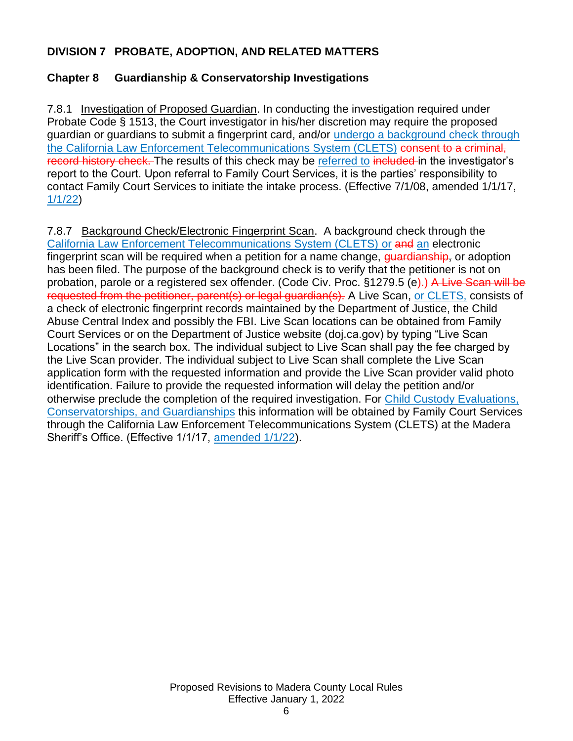#### **DIVISION 7 PROBATE, ADOPTION, AND RELATED MATTERS**

#### **Chapter 8 Guardianship & Conservatorship Investigations**

7.8.1 Investigation of Proposed Guardian. In conducting the investigation required under Probate Code § 1513, the Court investigator in his/her discretion may require the proposed guardian or guardians to submit a fingerprint card, and/or undergo a background check through the California Law Enforcement Telecommunications System (CLETS) consent to a criminal, record history check. The results of this check may be referred to included in the investigator's report to the Court. Upon referral to Family Court Services, it is the parties' responsibility to contact Family Court Services to initiate the intake process. (Effective 7/1/08, amended 1/1/17, 1/1/22)

7.8.7 Background Check/Electronic Fingerprint Scan. A background check through the California Law Enforcement Telecommunications System (CLETS) or and an electronic fingerprint scan will be required when a petition for a name change, guardianship, or adoption has been filed. The purpose of the background check is to verify that the petitioner is not on probation, parole or a registered sex offender. (Code Civ. Proc. §1279.5 (e).) A Live Scan will be requested from the petitioner, parent(s) or legal guardian(s). A Live Scan, or CLETS, consists of a check of electronic fingerprint records maintained by the Department of Justice, the Child Abuse Central Index and possibly the FBI. Live Scan locations can be obtained from Family Court Services or on the Department of Justice website (doj.ca.gov) by typing "Live Scan Locations" in the search box. The individual subject to Live Scan shall pay the fee charged by the Live Scan provider. The individual subject to Live Scan shall complete the Live Scan application form with the requested information and provide the Live Scan provider valid photo identification. Failure to provide the requested information will delay the petition and/or otherwise preclude the completion of the required investigation. For Child Custody Evaluations, Conservatorships, and Guardianships this information will be obtained by Family Court Services through the California Law Enforcement Telecommunications System (CLETS) at the Madera Sheriff's Office. (Effective 1/1/17, amended 1/1/22).